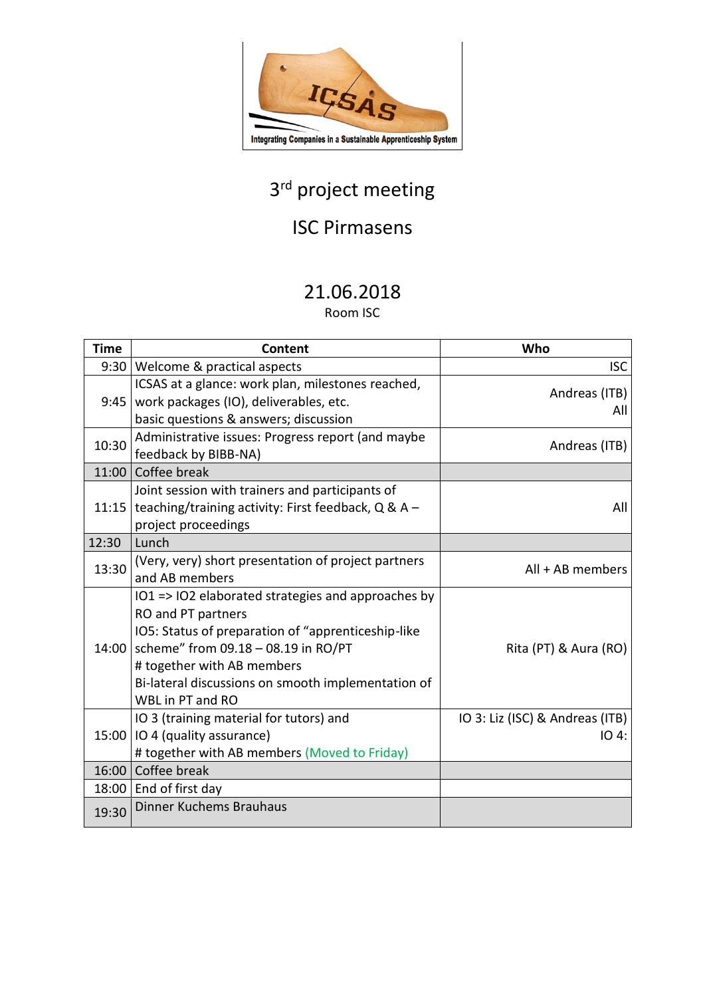

# 3<sup>rd</sup> project meeting

# ISC Pirmasens

### 21.06.2018

Room ISC

| <b>Time</b> | Content                                                                                                                                                                                                                                                                       | Who                                      |
|-------------|-------------------------------------------------------------------------------------------------------------------------------------------------------------------------------------------------------------------------------------------------------------------------------|------------------------------------------|
| 9:30        | Welcome & practical aspects                                                                                                                                                                                                                                                   | <b>ISC</b>                               |
| 9:45        | ICSAS at a glance: work plan, milestones reached,<br>work packages (IO), deliverables, etc.<br>basic questions & answers; discussion                                                                                                                                          | Andreas (ITB)<br>All                     |
| 10:30       | Administrative issues: Progress report (and maybe<br>feedback by BIBB-NA)                                                                                                                                                                                                     | Andreas (ITB)                            |
| 11:00       | Coffee break                                                                                                                                                                                                                                                                  |                                          |
|             | Joint session with trainers and participants of<br>11:15   teaching/training activity: First feedback, $Q & A -$<br>project proceedings                                                                                                                                       | All                                      |
| 12:30       | Lunch                                                                                                                                                                                                                                                                         |                                          |
| 13:30       | (Very, very) short presentation of project partners<br>and AB members                                                                                                                                                                                                         | $All + AB$ members                       |
| 14:00       | IO1 => IO2 elaborated strategies and approaches by<br>RO and PT partners<br>IO5: Status of preparation of "apprenticeship-like<br>scheme" from 09.18 - 08.19 in RO/PT<br># together with AB members<br>Bi-lateral discussions on smooth implementation of<br>WBL in PT and RO | Rita (PT) & Aura (RO)                    |
|             | IO 3 (training material for tutors) and<br>15:00   IO 4 (quality assurance)<br># together with AB members (Moved to Friday)                                                                                                                                                   | IO 3: Liz (ISC) & Andreas (ITB)<br>IO 4: |
|             | 16:00 Coffee break                                                                                                                                                                                                                                                            |                                          |
|             | 18:00   End of first day                                                                                                                                                                                                                                                      |                                          |
| 19:30       | <b>Dinner Kuchems Brauhaus</b>                                                                                                                                                                                                                                                |                                          |